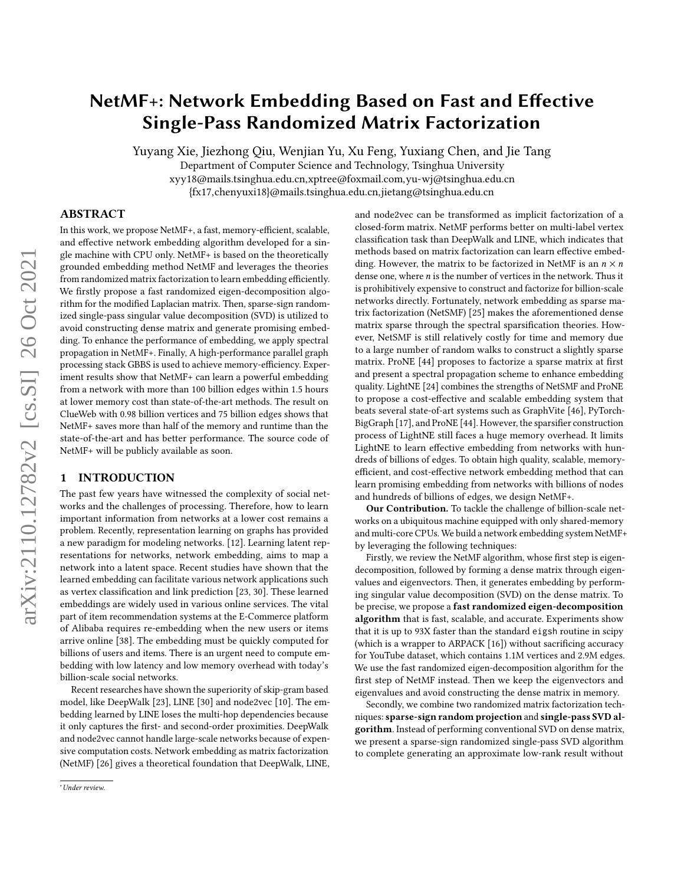# NetMF+: Network Embedding Based on Fast and Effective Single-Pass Randomized Matrix Factorization

Yuyang Xie, Jiezhong Qiu, Wenjian Yu, Xu Feng, Yuxiang Chen, and Jie Tang

Department of Computer Science and Technology, Tsinghua University

xyy18@mails.tsinghua.edu.cn,xptree@foxmail.com,yu-wj@tsinghua.edu.cn

{fx17,chenyuxi18}@mails.tsinghua.edu.cn,jietang@tsinghua.edu.cn

# ABSTRACT

In this work, we propose NetMF+, a fast, memory-efficient, scalable, and effective network embedding algorithm developed for a single machine with CPU only. NetMF+ is based on the theoretically grounded embedding method NetMF and leverages the theories from randomized matrix factorization to learn embedding efficiently. We firstly propose a fast randomized eigen-decomposition algorithm for the modified Laplacian matrix. Then, sparse-sign randomized single-pass singular value decomposition (SVD) is utilized to avoid constructing dense matrix and generate promising embedding. To enhance the performance of embedding, we apply spectral propagation in NetMF+. Finally, A high-performance parallel graph processing stack GBBS is used to achieve memory-efficiency. Experiment results show that NetMF+ can learn a powerful embedding from a network with more than 100 billion edges within 1.5 hours at lower memory cost than state-of-the-art methods. The result on ClueWeb with 0.98 billion vertices and 75 billion edges shows that NetMF+ saves more than half of the memory and runtime than the state-of-the-art and has better performance. The source code of NetMF+ will be publicly available as soon.

# 1 INTRODUCTION

The past few years have witnessed the complexity of social networks and the challenges of processing. Therefore, how to learn important information from networks at a lower cost remains a problem. Recently, representation learning on graphs has provided a new paradigm for modeling networks. [\[12\]](#page-8-0). Learning latent representations for networks, network embedding, aims to map a network into a latent space. Recent studies have shown that the learned embedding can facilitate various network applications such as vertex classification and link prediction [\[23,](#page-8-1) [30\]](#page-8-2). These learned embeddings are widely used in various online services. The vital part of item recommendation systems at the E-Commerce platform of Alibaba requires re-embedding when the new users or items arrive online [\[38\]](#page-8-3). The embedding must be quickly computed for billions of users and items. There is an urgent need to compute embedding with low latency and low memory overhead with today's billion-scale social networks.

Recent researches have shown the superiority of skip-gram based model, like DeepWalk [\[23\]](#page-8-1), LINE [\[30\]](#page-8-2) and node2vec [\[10\]](#page-8-4). The embedding learned by LINE loses the multi-hop dependencies because it only captures the first- and second-order proximities. DeepWalk and node2vec cannot handle large-scale networks because of expensive computation costs. Network embedding as matrix factorization (NetMF) [\[26\]](#page-8-5) gives a theoretical foundation that DeepWalk, LINE,

and node2vec can be transformed as implicit factorization of a closed-form matrix. NetMF performs better on multi-label vertex classification task than DeepWalk and LINE, which indicates that methods based on matrix factorization can learn effective embedding. However, the matrix to be factorized in NetMF is an  $n \times n$ dense one, where  $n$  is the number of vertices in the network. Thus it is prohibitively expensive to construct and factorize for billion-scale networks directly. Fortunately, network embedding as sparse matrix factorization (NetSMF) [\[25\]](#page-8-6) makes the aforementioned dense matrix sparse through the spectral sparsification theories. However, NetSMF is still relatively costly for time and memory due to a large number of random walks to construct a slightly sparse matrix. ProNE [\[44\]](#page-8-7) proposes to factorize a sparse matrix at first and present a spectral propagation scheme to enhance embedding quality. LightNE [\[24\]](#page-8-8) combines the strengths of NetSMF and ProNE to propose a cost-effective and scalable embedding system that beats several state-of-art systems such as GraphVite [\[46\]](#page-8-9), PyTorch-BigGraph [\[17\]](#page-8-10), and ProNE [\[44\]](#page-8-7). However, the sparsifier construction process of LightNE still faces a huge memory overhead. It limits LightNE to learn effective embedding from networks with hundreds of billions of edges. To obtain high quality, scalable, memoryefficient, and cost-effective network embedding method that can learn promising embedding from networks with billions of nodes and hundreds of billions of edges, we design NetMF+.

Our Contribution. To tackle the challenge of billion-scale networks on a ubiquitous machine equipped with only shared-memory and multi-core CPUs. We build a network embedding system NetMF+ by leveraging the following techniques:

Firstly, we review the NetMF algorithm, whose first step is eigendecomposition, followed by forming a dense matrix through eigenvalues and eigenvectors. Then, it generates embedding by performing singular value decomposition (SVD) on the dense matrix. To be precise, we propose a fast randomized eigen-decomposition algorithm that is fast, scalable, and accurate. Experiments show that it is up to 93X faster than the standard eigsh routine in scipy (which is a wrapper to ARPACK [\[16\]](#page-8-11)) without sacrificing accuracy for YouTube dataset, which contains 1.1M vertices and 2.9M edges. We use the fast randomized eigen-decomposition algorithm for the first step of NetMF instead. Then we keep the eigenvectors and eigenvalues and avoid constructing the dense matrix in memory.

Secondly, we combine two randomized matrix factorization techniques: sparse-sign random projection and single-pass SVD algorithm. Instead of performing conventional SVD on dense matrix, we present a sparse-sign randomized single-pass SVD algorithm to complete generating an approximate low-rank result without

<sup>∗</sup>Under review.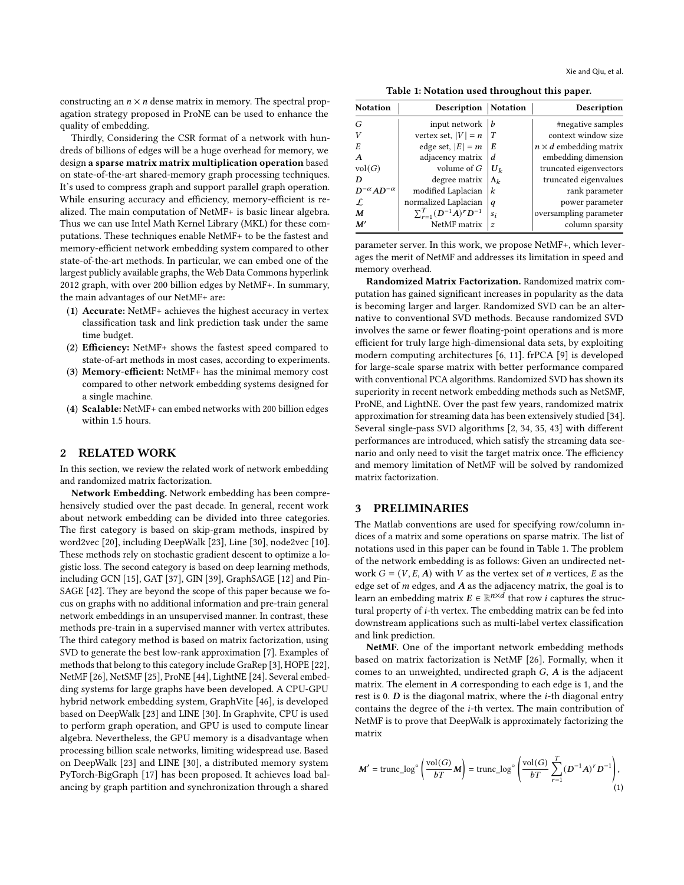Xie and Qiu, et al.

constructing an  $n \times n$  dense matrix in memory. The spectral propagation strategy proposed in ProNE can be used to enhance the quality of embedding.

Thirdly, Considering the CSR format of a network with hundreds of billions of edges will be a huge overhead for memory, we design a sparse matrix matrix multiplication operation based on state-of-the-art shared-memory graph processing techniques. It's used to compress graph and support parallel graph operation. While ensuring accuracy and efficiency, memory-efficient is realized. The main computation of NetMF+ is basic linear algebra. Thus we can use Intel Math Kernel Library (MKL) for these computations. These techniques enable NetMF+ to be the fastest and memory-efficient network embedding system compared to other state-of-the-art methods. In particular, we can embed one of the largest publicly available graphs, the Web Data Commons hyperlink 2012 graph, with over 200 billion edges by NetMF+. In summary, the main advantages of our NetMF+ are:

- (1) Accurate: NetMF+ achieves the highest accuracy in vertex classification task and link prediction task under the same time budget.
- (2) Efficiency: NetMF+ shows the fastest speed compared to state-of-art methods in most cases, according to experiments.
- (3) Memory-efficient: NetMF+ has the minimal memory cost compared to other network embedding systems designed for a single machine.
- (4) Scalable: NetMF+ can embed networks with 200 billion edges within 1.5 hours.

# 2 RELATED WORK

In this section, we review the related work of network embedding and randomized matrix factorization.

Network Embedding. Network embedding has been comprehensively studied over the past decade. In general, recent work about network embedding can be divided into three categories. The first category is based on skip-gram methods, inspired by word2vec [\[20\]](#page-8-12), including DeepWalk [\[23\]](#page-8-1), Line [\[30\]](#page-8-2), node2vec [\[10\]](#page-8-4). These methods rely on stochastic gradient descent to optimize a logistic loss. The second category is based on deep learning methods, including GCN [\[15\]](#page-8-13), GAT [\[37\]](#page-8-14), GIN [\[39\]](#page-8-15), GraphSAGE [\[12\]](#page-8-0) and Pin-SAGE [\[42\]](#page-8-16). They are beyond the scope of this paper because we focus on graphs with no additional information and pre-train general network embeddings in an unsupervised manner. In contrast, these methods pre-train in a supervised manner with vertex attributes. The third category method is based on matrix factorization, using SVD to generate the best low-rank approximation [\[7\]](#page-8-17). Examples of methods that belong to this category include GraRep [\[3\]](#page-8-18), HOPE [\[22\]](#page-8-19), NetMF [\[26\]](#page-8-5), NetSMF [\[25\]](#page-8-6), ProNE [\[44\]](#page-8-7), LightNE [\[24\]](#page-8-8). Several embedding systems for large graphs have been developed. A CPU-GPU hybrid network embedding system, GraphVite [\[46\]](#page-8-9), is developed based on DeepWalk [\[23\]](#page-8-1) and LINE [\[30\]](#page-8-2). In Graphvite, CPU is used to perform graph operation, and GPU is used to compute linear algebra. Nevertheless, the GPU memory is a disadvantage when processing billion scale networks, limiting widespread use. Based on DeepWalk [\[23\]](#page-8-1) and LINE [\[30\]](#page-8-2), a distributed memory system PyTorch-BigGraph [\[17\]](#page-8-10) has been proposed. It achieves load balancing by graph partition and synchronization through a shared

Table 1: Notation used throughout this paper.

<span id="page-1-0"></span>

| <b>Notation</b>           | <b>Description   Notation</b>       |                | Description                   |
|---------------------------|-------------------------------------|----------------|-------------------------------|
| G                         | input network                       | b              | #negative samples             |
| V                         | vertex set, $ V  = n$               | T              | context window size           |
| E                         | edge set, $ E  = m$                 | ΙE             | $n \times d$ embedding matrix |
| $\boldsymbol{A}$          | adjacency matrix                    | d              | embedding dimension           |
| vol(G)                    | volume of $G$                       | $ U_k $        | truncated eigenvectors        |
| D                         | degree matrix                       | $\Lambda_k$    | truncated eigenvalues         |
| $D^{-\alpha}AD^{-\alpha}$ | modified Laplacian                  | $\kappa$       | rank parameter                |
| L                         | normalized Laplacian                | q              | power parameter               |
| M                         | $\sum_{r=1}^{T} (D^{-1}A)^r D^{-1}$ | $s_i$          | oversampling parameter        |
| M'                        | NetMF matrix                        | $\overline{z}$ | column sparsity               |

parameter server. In this work, we propose NetMF+, which leverages the merit of NetMF and addresses its limitation in speed and memory overhead.

Randomized Matrix Factorization. Randomized matrix computation has gained significant increases in popularity as the data is becoming larger and larger. Randomized SVD can be an alternative to conventional SVD methods. Because randomized SVD involves the same or fewer floating-point operations and is more efficient for truly large high-dimensional data sets, by exploiting modern computing architectures [\[6,](#page-8-20) [11\]](#page-8-21). frPCA [\[9\]](#page-8-22) is developed for large-scale sparse matrix with better performance compared with conventional PCA algorithms. Randomized SVD has shown its superiority in recent network embedding methods such as NetSMF, ProNE, and LightNE. Over the past few years, randomized matrix approximation for streaming data has been extensively studied [\[34\]](#page-8-23). Several single-pass SVD algorithms [\[2,](#page-8-24) [34,](#page-8-23) [35,](#page-8-25) [43\]](#page-8-26) with different performances are introduced, which satisfy the streaming data scenario and only need to visit the target matrix once. The efficiency and memory limitation of NetMF will be solved by randomized matrix factorization.

## 3 PRELIMINARIES

The Matlab conventions are used for specifying row/column indices of a matrix and some operations on sparse matrix. The list of notations used in this paper can be found in Table [1.](#page-1-0) The problem of the network embedding is as follows: Given an undirected network  $G = (V, E, A)$  with V as the vertex set of *n* vertices, E as the edge set of  $m$  edges, and  $A$  as the adjacency matrix, the goal is to learn an embedding matrix  $E \in \mathbb{R}^{n \times d}$  that row *i* captures the structural property of  $i$ -th vertex. The embedding matrix can be fed into downstream applications such as multi-label vertex classification and link prediction.

NetMF. One of the important network embedding methods based on matrix factorization is NetMF [\[26\]](#page-8-5). Formally, when it comes to an unweighted, undirected graph  $G$ ,  $A$  is the adjacent matrix. The element in  $A$  corresponding to each edge is 1, and the rest is 0.  $D$  is the diagonal matrix, where the *i*-th diagonal entry contains the degree of the  $i$ -th vertex. The main contribution of NetMF is to prove that DeepWalk is approximately factorizing the matrix

<span id="page-1-1"></span>
$$
M' = \text{trunc}\log^{\circ}\left(\frac{\text{vol}(G)}{b}M\right) = \text{trunc}\log^{\circ}\left(\frac{\text{vol}(G)}{b} \sum_{r=1}^{T} (D^{-1}A)^{r} D^{-1}\right),\tag{1}
$$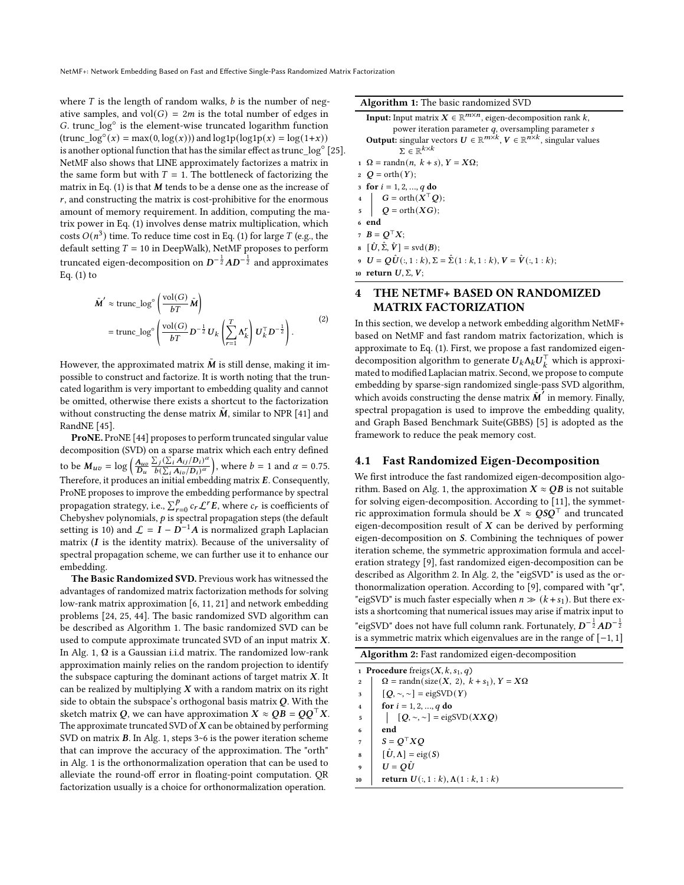where  $T$  is the length of random walks,  $b$  is the number of negative samples, and  $vol(G) = 2m$  is the total number of edges in G. trunc  $\log^\circ$  is the element-wise truncated logarithm function  $(\text{trunc\_log}^{\circ}(x) = \max(0, \log(x)))$  and  $\log 1p(\log 1p(x) = \log(1+x))$ is another optional function that has the similar effect as trunc  $\log^\circ$  [\[25\]](#page-8-6). NetMF also shows that LINE approximately factorizes a matrix in the same form but with  $T = 1$ . The bottleneck of factorizing the matrix in Eq.  $(1)$  is that M tends to be a dense one as the increase of  $r$ , and constructing the matrix is cost-prohibitive for the enormous amount of memory requirement. In addition, computing the matrix power in Eq. [\(1\)](#page-1-1) involves dense matrix multiplication, which costs  $O(n^3)$  time. To reduce time cost in Eq. [\(1\)](#page-1-1) for large T (e.g., the default setting  $T = 10$  in DeepWalk), NetMF proposes to perform truncated eigen-decomposition on  $D^{-\frac{1}{2}}AD^{-\frac{1}{2}}$  and approximates Eq.  $(1)$  to

$$
\tilde{\mathbf{M}}' \approx \text{trunc\_log}^{\circ} \left( \frac{\text{vol}(G)}{b} \tilde{\mathbf{M}} \right)
$$
\n
$$
= \text{trunc\_log}^{\circ} \left( \frac{\text{vol}(G)}{b} D^{-\frac{1}{2}} U_k \left( \sum_{r=1}^{T} \Lambda_k^r \right) U_k^{\top} D^{-\frac{1}{2}} \right). \tag{2}
$$

However, the approximated matrix  $\tilde{M}$  is still dense, making it impossible to construct and factorize. It is worth noting that the truncated logarithm is very important to embedding quality and cannot be omitted, otherwise there exists a shortcut to the factorization without constructing the dense matrix  $\tilde{M}$ , similar to NPR [\[41\]](#page-8-27) and RandNE [\[45\]](#page-8-28).

ProNE. ProNE [\[44\]](#page-8-7) proposes to perform truncated singular value decomposition (SVD) on a sparse matrix which each entry defined to be  $M_{uv} = \log \left(\frac{A_{uv}}{D_u}\right)$  $\sum_i (\sum_i^{\bullet} A_{ij}/D_i)^{\alpha}$  $\frac{\sum_j (\sum_i A_{ij}/D_i)^{\alpha}}{b(\sum_i A_{io}/D_i)^{\alpha}}$ , where  $b = 1$  and  $\alpha = 0.75$ . Therefore, it produces an initial embedding matrix  $E$ . Consequently, ProNE proposes to improve the embedding performance by spectral propagation strategy, i.e.,  $\sum_{r=0}^{p} c_r \mathcal{L}^r E$ , where  $c_r$  is coefficients of Chebyshev polynomials,  $p$  is spectral propagation steps (the default setting is 10) and  $\mathcal{L} = I - D^{-1}A$  is normalized graph Laplacian matrix  $(I$  is the identity matrix). Because of the universality of spectral propagation scheme, we can further use it to enhance our embedding.

The Basic Randomized SVD. Previous work has witnessed the advantages of randomized matrix factorization methods for solving low-rank matrix approximation [\[6,](#page-8-20) [11,](#page-8-21) [21\]](#page-8-29) and network embedding problems [\[24,](#page-8-8) [25,](#page-8-6) [44\]](#page-8-7). The basic randomized SVD algorithm can be described as Algorithm [1.](#page-2-0) The basic randomized SVD can be used to compute approximate truncated SVD of an input matrix  $X$ . In Alg. [1,](#page-2-0)  $\Omega$  is a Gaussian i.i.d matrix. The randomized low-rank approximation mainly relies on the random projection to identify the subspace capturing the dominant actions of target matrix  $X$ . It can be realized by multiplying  $X$  with a random matrix on its right side to obtain the subspace's orthogonal basis matrix  $Q$ . With the sketch matrix Q, we can have approximation  $X \approx QB = QQ^{\top}X$ . The approximate truncated SVD of  $X$  can be obtained by performing SVD on matrix  $B$ . In Alg. [1,](#page-2-0) steps 3~6 is the power iteration scheme that can improve the accuracy of the approximation. The "orth" in Alg. [1](#page-2-0) is the orthonormalization operation that can be used to alleviate the round-off error in floating-point computation. QR factorization usually is a choice for orthonormalization operation.

Algorithm 1: The basic randomized SVD

<span id="page-2-0"></span>**Input:** Input matrix  $X \in \mathbb{R}^{m \times n}$ , eigen-decomposition rank  $k$ , power iteration parameter  $q$ , oversampling parameter  $s$ **Output:** singular vectors  $U \in \mathbb{R}^{m \times k}$ ,  $V \in \mathbb{R}^{n \times k}$ , singular values  $\Sigma \in \mathbb{R}^{k \times k}$ 1  $\Omega$  = randn(n, k + s),  $Y = X\Omega$ ;  $2$  O = orth(Y); 3 for  $i = 1, 2, ..., q$  do 4  $\Big|$   $G = \operatorname{orth}(X^{\top}Q);$  $\log Q = \operatorname{orth}(XG);$ <sup>6</sup> end 7  $B = Q^{\top} X;$  $\mathbf{B} \left[ \hat{\mathbf{U}}, \hat{\Sigma}, \hat{\mathbf{V}} \right] = \text{svd}(\mathbf{B});$ 9  $U = Q\hat{U}(:, 1:k), \Sigma = \hat{\Sigma}(1:k, 1:k), V = \hat{V}(:, 1:k);$ 

10 return  $U, \Sigma, V;$ 

# 4 THE NETMF+ BASED ON RANDOMIZED MATRIX FACTORIZATION

In this section, we develop a network embedding algorithm NetMF+ based on NetMF and fast random matrix factorization, which is approximate to Eq. [\(1\)](#page-1-1). First, we propose a fast randomized eigendecomposition algorithm to generate  $U_k \Lambda_k U_k^{\top}$  which is approximated to modified Laplacian matrix. Second, we propose to compute embedding by sparse-sign randomized single-pass SVD algorithm, which avoids constructing the dense matrix  $\tilde{M}'$  in memory. Finally, spectral propagation is used to improve the embedding quality, and Graph Based Benchmark Suite(GBBS) [\[5\]](#page-8-30) is adopted as the framework to reduce the peak memory cost.

### 4.1 Fast Randomized Eigen-Decomposition

We first introduce the fast randomized eigen-decomposition algo-rithm. Based on Alg. [1,](#page-2-0) the approximation  $X \approx QB$  is not suitable for solving eigen-decomposition. According to [\[11\]](#page-8-21), the symmetric approximation formula should be  $X \approx QSQ^{\top}$  and truncated eigen-decomposition result of  $X$  can be derived by performing eigen-decomposition on S. Combining the techniques of power iteration scheme, the symmetric approximation formula and acceleration strategy [\[9\]](#page-8-22), fast randomized eigen-decomposition can be described as Algorithm [2.](#page-2-1) In Alg. [2,](#page-2-1) the "eigSVD" is used as the orthonormalization operation. According to [\[9\]](#page-8-22), compared with "qr", "eigSVD" is much faster especially when  $n \gg (k+s_1)$ . But there exists a shortcoming that numerical issues may arise if matrix input to "eigSVD" does not have full column rank. Fortunately,  $D^{-\frac{1}{2}}AD^{-\frac{1}{2}}$ is a symmetric matrix which eigenvalues are in the range of [−1, 1]

|  |  | Algorithm 2: Fast randomized eigen-decomposition |  |
|--|--|--------------------------------------------------|--|
|  |  |                                                  |  |

<span id="page-2-1"></span>1 Procedure freigs  $(X, k, s_1, q)$ 2  $\boxed{2}$  = randn(size(X, 2),  $k + s_1$ ),  $Y = X\Omega$  $3 \left[ \left[ Q, \sim, \sim \right] = \text{eigSVD}(Y) \right]$ 4 **for**  $i = 1, 2, ..., q$  do 5  $[Q, \sim, \sim] = \text{eigSVD}(XXQ)$ <sup>6</sup> end  $7 \mid S = O^{\top}XO$  $\mathbf{s} \mid [\hat{\mathbf{U}}, \mathbf{\Lambda}] = \text{eig}(S)$  $U = O\hat{U}$ 10 **return**  $U(:, 1 : k), \Lambda(1 : k, 1 : k)$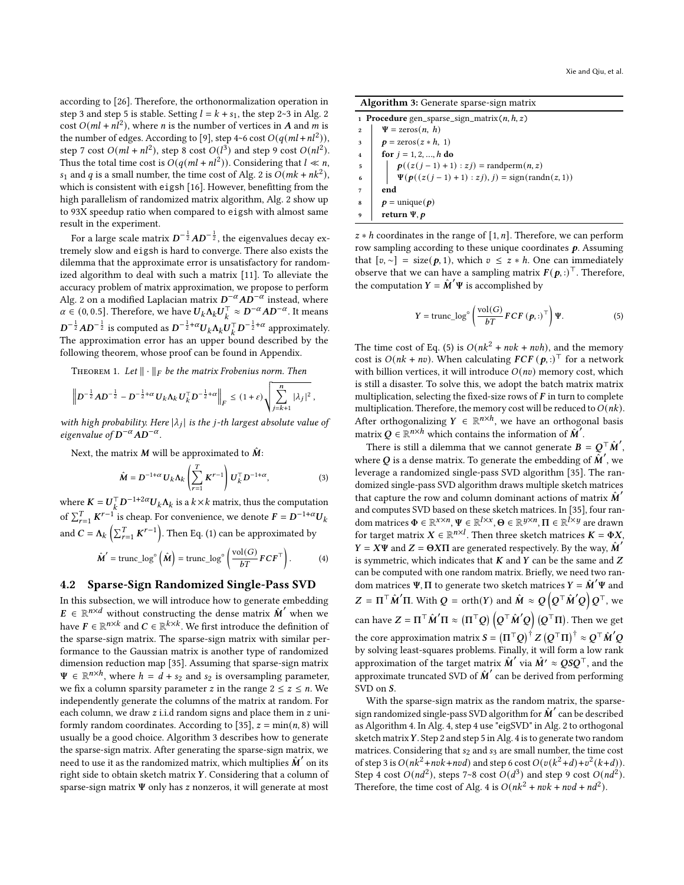according to [\[26\]](#page-8-5). Therefore, the orthonormalization operation in step 3 and step 5 is stable. Setting  $l = k + s_1$ , the step [2](#page-2-1)~3 in Alg. 2  $\cot^2 O(ml + n^2)$ , where *n* is the number of vertices in *A* and *m* is the number of edges. According to [\[9\]](#page-8-22), step 4~6 cost  $O(q(ml + nl^2))$ , step 7 cost  $O(ml + nl^2)$ , step 8 cost  $O(l^3)$  and step 9 cost  $O(nl^2)$ . Thus the total time cost is  $O(q(ml + n l^2))$ . Considering that  $l \ll n$ ,  $s_1$  and q is a small number, the time cost of Alg. [2](#page-2-1) is  $O(mk + nk^2)$ , which is consistent with eigsh [\[16\]](#page-8-11). However, benefitting from the high parallelism of randomized matrix algorithm, Alg. [2](#page-2-1) show up to 93X speedup ratio when compared to eigsh with almost same result in the experiment.

For a large scale matrix  $\boldsymbol{D}^{-\frac{1}{2}} \boldsymbol{A} \boldsymbol{D}^{-\frac{1}{2}}$ , the eigenvalues decay extremely slow and eigsh is hard to converge. There also exists the dilemma that the approximate error is unsatisfactory for randomized algorithm to deal with such a matrix [\[11\]](#page-8-21). To alleviate the accuracy problem of matrix approximation, we propose to perform Alg. [2](#page-2-1) on a modified Laplacian matrix  $D^{-\alpha}AD^{-\alpha}$  instead, where  $\alpha \in (0, 0.5]$ . Therefore, we have  $U_k \Lambda_k U_k^\top \approx D^{-\alpha} AD^{-\alpha}$ . It means  $D^{-\frac{1}{2}}AD^{-\frac{1}{2}}$  is computed as  $D^{-\frac{1}{2}+\alpha}U_k\Lambda_kU_k^\top D^{-\frac{1}{2}+\alpha}$  approximately. The approximation error has an upper bound described by the following theorem, whose proof can be found in Appendix.

THEOREM 1. Let  $\|\cdot\|_F$  be the matrix Frobenius norm. Then

$$
\left\| D^{-\frac{1}{2}}AD^{-\frac{1}{2}} - D^{-\frac{1}{2}+\alpha} U_k \Lambda_k U_k^{\top} D^{-\frac{1}{2}+\alpha} \right\|_F \leq (1+\varepsilon) \sqrt{\sum_{j=k+1}^n |\lambda_j|^2},
$$

with high probability. Here  $|\lambda_j|$  is the j-th largest absolute value of eigenvalue of  $D^{-\alpha}AD^{-\alpha}$ .

Next, the matrix  $M$  will be approximated to  $\hat{M}$ :

$$
\hat{M} = D^{-1+\alpha} U_k \Lambda_k \left( \sum_{r=1}^T K^{r-1} \right) U_k^{\top} D^{-1+\alpha}, \tag{3}
$$

where  $K = U_k^{\top} D^{-1+2\alpha} U_k \Lambda_k$  is a  $k \times k$  matrix, thus the computation of  $\sum_{r=1}^{T} K^{r-1}$  is cheap. For convenience, we denote  $F = D^{-1+\alpha} U_k$ and  $C = \Lambda_k \left( \sum_{r=1}^T K^{r-1} \right)$ . Then Eq. [\(1\)](#page-1-1) can be approximated by

<span id="page-3-2"></span>
$$
\hat{\mathbf{M}}' = \text{trunc\_log}^{\circ} \left( \hat{\mathbf{M}} \right) = \text{trunc\_log}^{\circ} \left( \frac{\text{vol}(G)}{b} F C F^{\top} \right). \tag{4}
$$

# 4.2 Sparse-Sign Randomized Single-Pass SVD

In this subsection, we will introduce how to generate embedding  $E \in \mathbb{R}^{n \times d}$  without constructing the dense matrix  $\hat{M}'$  when we have  $F \in \mathbb{R}^{n \times k}$  and  $C \in \mathbb{R}^{k \times k}$ . We first introduce the definition of the sparse-sign matrix. The sparse-sign matrix with similar performance to the Gaussian matrix is another type of randomized dimension reduction map [\[35\]](#page-8-25). Assuming that sparse-sign matrix  $\Psi \in \mathbb{R}^{n \times h}$ , where  $h = d + s_2$  and  $s_2$  is oversampling parameter, we fix a column sparsity parameter *z* in the range  $2 \le z \le n$ . We independently generate the columns of the matrix at random. For each column, we draw  $z$  i.i.d random signs and place them in  $z$  uni-formly random coordinates. According to [\[35\]](#page-8-25),  $z = min(n, 8)$  will usually be a good choice. Algorithm [3](#page-3-0) describes how to generate the sparse-sign matrix. After generating the sparse-sign matrix, we need to use it as the randomized matrix, which multiplies  $\hat{M}'$  on its right side to obtain sketch matrix  $Y$ . Considering that a column of sparse-sign matrix  $\Psi$  only has  $z$  nonzeros, it will generate at most

Algorithm 3: Generate sparse-sign matrix

<span id="page-3-0"></span>1 Procedure gen\_sparse\_sign\_matrix $(n, h, z)$  $\frac{1}{2}$   $\psi = \text{zeros}(n, h)$  $\boldsymbol{p} = \text{zeros}(z * h, 1)$ 4  $\big|$  for  $j = 1, 2, ..., h$  do 5  $| p((z(j-1)+1):zj) = \text{randperm}(n, z)$ 6  $\left| \Psi(p((z(j-1)+1):zj), j) = sign(randn(z, 1)) \right|$  $7 \mid end$  $\mathbf{s}$  |  $\mathbf{p} = \text{unique}(\mathbf{p})$ return  $\Psi, p$ 

 $z * h$  coordinates in the range of [1, n]. Therefore, we can perform row sampling according to these unique coordinates  $p$ . Assuming that  $[v, \sim] = \text{size}(\boldsymbol{p}, 1)$ , which  $v \leq z * h$ . One can immediately observe that we can have a sampling matrix  $F(\boldsymbol{p},.)^{\top}$ . Therefore, the computation  $Y = \hat{M}'\Psi$  is accomplished by

<span id="page-3-1"></span>
$$
Y = \text{trunc\_log}^{\circ} \left( \frac{\text{vol}(G)}{b} F C F \left( \boldsymbol{p}, : \right)^{\top} \right) \Psi. \tag{5}
$$

The time cost of Eq. [\(5\)](#page-3-1) is  $O(nk^2 + nvk + nvh)$ , and the memory cost is  $O(nk + nv)$ . When calculating  $FCF(p,:)^{\top}$  for a network with billion vertices, it will introduce  $O(nv)$  memory cost, which is still a disaster. To solve this, we adopt the batch matrix matrix multiplication, selecting the fixed-size rows of  $F$  in turn to complete multiplication. Therefore, the memory cost will be reduced to  $O(nk)$ . After orthogonalizing  $Y \in \mathbb{R}^{n \times h}$ , we have an orthogonal basis matrix  $Q \in \mathbb{R}^{n \times h}$  which contains the information of  $\widetilde{M}'$ .

There is still a dilemma that we cannot generate  $\vec{B} = \vec{Q}^\top \hat{M}'$ , where  $Q$  is a dense matrix. To generate the embedding of  $\widetilde{M}'$ , we leverage a randomized single-pass SVD algorithm [\[35\]](#page-8-25). The randomized single-pass SVD algorithm draws multiple sketch matrices that capture the row and column dominant actions of matrix  $\hat{M}'$ and computes SVD based on these sketch matrices. In [\[35\]](#page-8-25), four random matrices  $\Phi \in \mathbb{R}^{x \times n}$ ,  $\Psi \in \mathbb{R}^{l \times x}$ ,  $\Theta \in \mathbb{R}^{y \times n}$ ,  $\Pi \in \mathbb{R}^{l \times y}$  are drawn for target matrix  $X \in \mathbb{R}^{n \times l}$ . Then three sketch matrices  $K = \Phi X$ ,  $Y = X\Psi$  and  $Z = \Theta X\Pi$  are generated respectively. By the way,  $\hat{M}'$ is symmetric, which indicates that  $K$  and  $Y$  can be the same and  $Z$ can be computed with one random matrix. Briefly, we need two random matrices  $\Psi$ ,  $\Pi$  to generate two sketch matrices  $Y = \hat{M}'\Psi$  and  $Z = \Pi^\top \hat{\boldsymbol{M}}'\Pi$ . With  $Q = \operatorname{orth}(Y)$  and  $\hat{\boldsymbol{M}} \approx Q\left(Q^\top \hat{\boldsymbol{M}}'Q\right)Q^\top$ , we can have  $Z=\Pi^\top \hat{M}'\Pi \approx (\Pi^\top Q)\left(Q^\top \hat{M}'Q\right)(Q^\top \Pi).$  Then we get the core approximation matrix  $S=\left(\Pi^\top Q\right)^\dagger Z \left(Q^\top \Pi\right)^\dagger \approx Q^\top \hat{M}' Q$ by solving least-squares problems. Finally, it will form a low rank approximation of the target matrix  $\hat{M}'$  via  $\hat{M}' \approx QSQ^{\top}$ , and the approximate truncated SVD of  $\hat{M}'$  can be derived from performing SVD on S.

With the sparse-sign matrix as the random matrix, the sparsesign randomized single-pass SVD algorithm for  $\hat{M}'$  can be described as Algorithm [4.](#page-4-0) In Alg. [4,](#page-4-0) step 4 use "eigSVD" in Alg. [2](#page-2-1) to orthogonal sketch matrix  $Y$ . Step 2 and step 5 in Alg. [4](#page-4-0) is to generate two random matrices. Considering that  $s_2$  and  $s_3$  are small number, the time cost of step 3 is  $O(nk^2 + n v k + n v d)$  and step 6 cost  $O(v(k^2+d)+v^2(k+d))$ . Step 4 cost  $O(nd^2)$ , steps 7~8 cost  $O(d^3)$  and step 9 cost  $O(nd^2)$ . Therefore, the time cost of Alg. [4](#page-4-0) is  $O(nk^2 + nvk + nvd + nd^2)$ .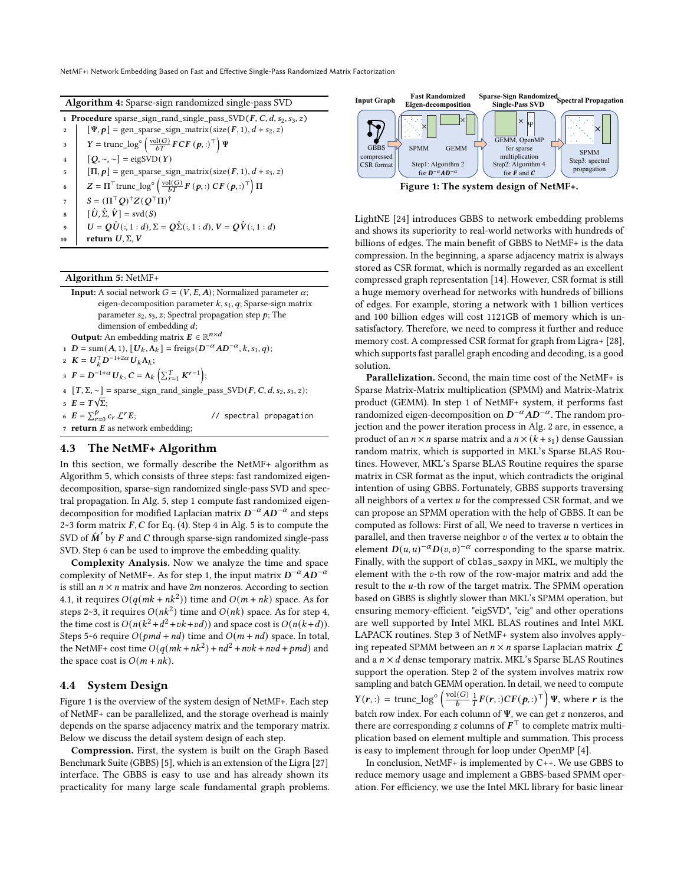NetMF+: Network Embedding Based on Fast and Effective Single-Pass Randomized Matrix Factorization

| <b>Algorithm 4:</b> Sparse-sign randomized single-pass SVD |  |  |  |
|------------------------------------------------------------|--|--|--|
|                                                            |  |  |  |

<span id="page-4-0"></span>

|                | 1 <b>Procedure</b> sparse_sign_rand_single_pass_SVD( $F, C, d, s_2, s_3, z$ )                                            |
|----------------|--------------------------------------------------------------------------------------------------------------------------|
| $\overline{2}$ | $[\Psi, p]$ = gen_sparse_sign_matrix(size(F, 1), $d$ + s <sub>2</sub> , z)                                               |
| 3              | $Y = \text{trunc\_log}^{\circ} \left( \frac{\text{vol}(G)}{bT} FCF \left( \boldsymbol{p}, : \right)^{\top} \right) \Psi$ |
| $\overline{4}$ | $[Q, \sim, \sim]$ = eigSVD(Y)                                                                                            |
| 5              | $[\Pi, p]$ = gen_sparse_sign_matrix(size( $F$ , 1), $d$ + s <sub>3</sub> , z)                                            |
| 6              | $Z = \Pi^{\top}$ trunc_log <sup>o</sup> $\left(\frac{\text{vol}(G)}{bT}F(p,:) CF(p,:)^{\top}\right)\Pi$                  |
| 7              | $S = (\Pi^{\top} O)^{\dagger} Z (O^{\top} \Pi)^{\dagger}$                                                                |
| 8              | $[\hat{U}, \hat{\Sigma}, \hat{V}] = \text{svd}(S)$                                                                       |
| q              | $U = Q\hat{U}(:, 1:d), \Sigma = Q\hat{\Sigma}(:, 1:d), V = Q\hat{V}(:, 1:d)$                                             |
| 10             | return $U, \Sigma, V$                                                                                                    |

#### Algorithm 5: NetMF+

<span id="page-4-1"></span>**Input:** A social network  $G = (V, E, A)$ ; Normalized parameter  $\alpha$ ; eigen-decomposition parameter  $k$ ,  $s<sub>1</sub>$ ,  $q$ ; Sparse-sign matrix parameter  $s_2$ ,  $s_3$ ,  $z$ ; Spectral propagation step  $p$ ; The dimension of embedding  $d$ ; **Output:** An embedding matrix  $\mathbf{E} \in \mathbb{R}^{n \times d}$ 1 D = sum(A, 1),  $[U_k, \Lambda_k]$  = freigs( $D^{-\alpha}AD^{-\alpha}$ ,  $k, s_1, q$ ); 2  $K = U_k^{\top} D^{-1+2\alpha} U_k \Lambda_k;$ 3  $F = D^{-1+\alpha} U_k, C = \Lambda_k \left( \sum_{r=1}^T K^{r-1} \right);$  $\begin{bmatrix} 4 & [T, \Sigma, \sim] = \text{sparse\_sign\_rand\_single\_pass\_SVD}(F, C, d, s_2, s_3, z); \end{bmatrix}$  $E = T\sqrt{\Sigma};$ 6  $E = \sum_{r=0}^{p}$ // spectral propagation 7 return  $E$  as network embedding;

## 4.3 The NetMF+ Algorithm

In this section, we formally describe the NetMF+ algorithm as Algorithm [5,](#page-4-1) which consists of three steps: fast randomized eigendecomposition, sparse-sign randomized single-pass SVD and spectral propagation. In Alg. [5,](#page-4-1) step 1 compute fast randomized eigendecomposition for modified Laplacian matrix  $\vec{D}^{-\alpha}AD^{-\alpha}$  and steps  $2~3$  form matrix  $F, C$  for Eq. [\(4\)](#page-3-2). Step 4 in Alg. [5](#page-4-1) is to compute the SVD of  $\hat{M}'$  by  $F$  and  $C$  through sparse-sign randomized single-pass SVD. Step 6 can be used to improve the embedding quality.

Complexity Analysis. Now we analyze the time and space complexity of NetMF+. As for step 1, the input matrix  $D^{-\alpha}AD^{-\alpha}$ is still an  $n \times n$  matrix and have 2*m* nonzeros. According to section 4.1, it requires  $O(q(mk + nk^2))$  time and  $O(m + nk)$  space. As for steps 2~3, it requires  $O(nk^2)$  time and  $O(nk)$  space. As for step 4, the time cost is  $O(n(k^2 + d^2 + vk + vd))$  and space cost is  $O(n(k+d))$ . Steps 5~6 require  $O(pmd + nd)$  time and  $O(m + nd)$  space. In total, the NetMF+ cost time  $O(q(mk + nk^2) + nd^2 + nvk + nvd + pmd)$  and the space cost is  $O(m + nk)$ .

#### 4.4 System Design

Figure [1](#page-4-2) is the overview of the system design of NetMF+. Each step of NetMF+ can be parallelized, and the storage overhead is mainly depends on the sparse adjacency matrix and the temporary matrix. Below we discuss the detail system design of each step.

Compression. First, the system is built on the Graph Based Benchmark Suite (GBBS) [\[5\]](#page-8-30), which is an extension of the Ligra [\[27\]](#page-8-31) interface. The GBBS is easy to use and has already shown its practicality for many large scale fundamental graph problems.

<span id="page-4-2"></span>

Figure 1: The system design of NetMF+.

LightNE [\[24\]](#page-8-8) introduces GBBS to network embedding problems and shows its superiority to real-world networks with hundreds of billions of edges. The main benefit of GBBS to NetMF+ is the data compression. In the beginning, a sparse adjacency matrix is always stored as CSR format, which is normally regarded as an excellent compressed graph representation [\[14\]](#page-8-32). However, CSR format is still a huge memory overhead for networks with hundreds of billions of edges. For example, storing a network with 1 billion vertices and 100 billion edges will cost 1121GB of memory which is unsatisfactory. Therefore, we need to compress it further and reduce memory cost. A compressed CSR format for graph from Ligra+ [\[28\]](#page-8-33), which supports fast parallel graph encoding and decoding, is a good solution.

Parallelization. Second, the main time cost of the NetMF+ is Sparse Matrix-Matrix multiplication (SPMM) and Matrix-Matrix product (GEMM). In step 1 of NetMF+ system, it performs fast randomized eigen-decomposition on  $D^{-\alpha}AD^{-\alpha}$ . The random projection and the power iteration process in Alg. [2](#page-2-1) are, in essence, a product of an  $n \times n$  sparse matrix and a  $n \times (k+s_1)$  dense Gaussian random matrix, which is supported in MKL's Sparse BLAS Routines. However, MKL's Sparse BLAS Routine requires the sparse matrix in CSR format as the input, which contradicts the original intention of using GBBS. Fortunately, GBBS supports traversing all neighbors of a vertex  $u$  for the compressed CSR format, and we can propose an SPMM operation with the help of GBBS. It can be computed as follows: First of all, We need to traverse n vertices in parallel, and then traverse neighbor  $v$  of the vertex  $u$  to obtain the element  $D(u, u)^{-\alpha} D(v, v)^{-\alpha}$  corresponding to the sparse matrix. Finally, with the support of cblas\_saxpy in MKL, we multiply the element with the  $v$ -th row of the row-major matrix and add the result to the  $u$ -th row of the target matrix. The SPMM operation based on GBBS is slightly slower than MKL's SPMM operation, but ensuring memory-efficient. "eigSVD", "eig" and other operations are well supported by Intel MKL BLAS routines and Intel MKL LAPACK routines. Step 3 of NetMF+ system also involves applying repeated SPMM between an  $n \times n$  sparse Laplacian matrix  $\mathcal L$ and a  $n \times d$  dense temporary matrix. MKL's Sparse BLAS Routines support the operation. Step 2 of the system involves matrix row sampling and batch GEMM operation. In detail, we need to compute  $Y(r, :)= \text{trunc\_log}^{\circ} \left( \frac{\text{vol}(G)}{b} \frac{1}{T} F(r, :) CF(p, :)^{\top} \right) \Psi$ , where r is the batch row index. For each column of  $\Psi$ , we can get z nonzeros, and there are corresponding z columns of  $F<sup>T</sup>$  to complete matrix multiplication based on element multiple and summation. This process is easy to implement through for loop under OpenMP [\[4\]](#page-8-34).

In conclusion, NetMF+ is implemented by C++. We use GBBS to reduce memory usage and implement a GBBS-based SPMM operation. For efficiency, we use the Intel MKL library for basic linear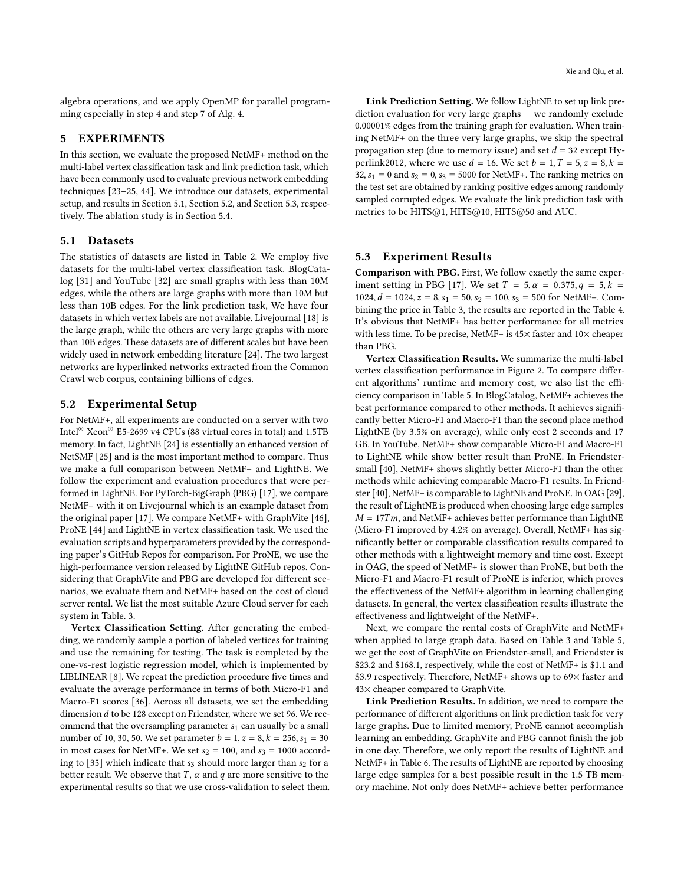algebra operations, and we apply OpenMP for parallel programming especially in step 4 and step 7 of Alg. [4.](#page-4-0)

## 5 EXPERIMENTS

In this section, we evaluate the proposed NetMF+ method on the multi-label vertex classification task and link prediction task, which have been commonly used to evaluate previous network embedding techniques [\[23](#page-8-1)[–25,](#page-8-6) [44\]](#page-8-7). We introduce our datasets, experimental setup, and results in Section 5.1, Section 5.2, and Section 5.3, respectively. The ablation study is in Section 5.4.

#### 5.1 Datasets

The statistics of datasets are listed in Table [2.](#page-6-0) We employ five datasets for the multi-label vertex classification task. BlogCatalog [\[31\]](#page-8-35) and YouTube [\[32\]](#page-8-36) are small graphs with less than 10M edges, while the others are large graphs with more than 10M but less than 10B edges. For the link prediction task, We have four datasets in which vertex labels are not available. Livejournal [\[18\]](#page-8-37) is the large graph, while the others are very large graphs with more than 10B edges. These datasets are of different scales but have been widely used in network embedding literature [\[24\]](#page-8-8). The two largest networks are hyperlinked networks extracted from the Common Crawl web corpus, containing billions of edges.

## 5.2 Experimental Setup

For NetMF+, all experiments are conducted on a server with two Intel® Xeon® E5-2699 v4 CPUs (88 virtual cores in total) and 1.5TB memory. In fact, LightNE [\[24\]](#page-8-8) is essentially an enhanced version of NetSMF [\[25\]](#page-8-6) and is the most important method to compare. Thus we make a full comparison between NetMF+ and LightNE. We follow the experiment and evaluation procedures that were performed in LightNE. For PyTorch-BigGraph (PBG) [\[17\]](#page-8-10), we compare NetMF+ with it on Livejournal which is an example dataset from the original paper [\[17\]](#page-8-10). We compare NetMF+ with GraphVite [\[46\]](#page-8-9), ProNE [\[44\]](#page-8-7) and LightNE in vertex classification task. We used the evaluation scripts and hyperparameters provided by the corresponding paper's GitHub Repos for comparison. For ProNE, we use the high-performance version released by LightNE GitHub repos. Considering that GraphVite and PBG are developed for different scenarios, we evaluate them and NetMF+ based on the cost of cloud server rental. We list the most suitable Azure Cloud server for each system in Table. [3.](#page-6-1)

Vertex Classification Setting. After generating the embedding, we randomly sample a portion of labeled vertices for training and use the remaining for testing. The task is completed by the one-vs-rest logistic regression model, which is implemented by LIBLINEAR [\[8\]](#page-8-38). We repeat the prediction procedure five times and evaluate the average performance in terms of both Micro-F1 and Macro-F1 scores [\[36\]](#page-8-39). Across all datasets, we set the embedding dimension  $d$  to be 128 except on Friendster, where we set 96. We recommend that the oversampling parameter  $s_1$  can usually be a small number of 10, 30, 50. We set parameter  $b = 1$ ,  $z = 8$ ,  $k = 256$ ,  $s_1 = 30$ in most cases for NetMF+. We set  $s_2 = 100$ , and  $s_3 = 1000$  accord-ing to [\[35\]](#page-8-25) which indicate that  $s_3$  should more larger than  $s_2$  for a better result. We observe that  $T$ ,  $\alpha$  and  $q$  are more sensitive to the experimental results so that we use cross-validation to select them.

Link Prediction Setting. We follow LightNE to set up link prediction evaluation for very large graphs — we randomly exclude 0.00001% edges from the training graph for evaluation. When training NetMF+ on the three very large graphs, we skip the spectral propagation step (due to memory issue) and set  $d = 32$  except Hyperlink2012, where we use  $d = 16$ . We set  $b = 1, T = 5, z = 8, k = 1$ 32,  $s_1 = 0$  and  $s_2 = 0$ ,  $s_3 = 5000$  for NetMF+. The ranking metrics on the test set are obtained by ranking positive edges among randomly sampled corrupted edges. We evaluate the link prediction task with metrics to be HITS@1, HITS@10, HITS@50 and AUC.

# 5.3 Experiment Results

Comparison with PBG. First, We follow exactly the same exper-iment setting in PBG [\[17\]](#page-8-10). We set  $T = 5$ ,  $\alpha = 0.375$ ,  $q = 5$ ,  $k =$ 1024,  $d = 1024$ ,  $z = 8$ ,  $s_1 = 50$ ,  $s_2 = 100$ ,  $s_3 = 500$  for NetMF+. Combining the price in Table [3,](#page-6-1) the results are reported in the Table [4.](#page-6-2) It's obvious that NetMF+ has better performance for all metrics with less time. To be precise, NetMF+ is  $45\times$  faster and  $10\times$  cheaper than PBG.

Vertex Classification Results. We summarize the multi-label vertex classification performance in Figure [2.](#page-6-3) To compare different algorithms' runtime and memory cost, we also list the efficiency comparison in Table [5.](#page-6-4) In BlogCatalog, NetMF+ achieves the best performance compared to other methods. It achieves significantly better Micro-F1 and Macro-F1 than the second place method LightNE (by 3.5% on average), while only cost 2 seconds and 17 GB. In YouTube, NetMF+ show comparable Micro-F1 and Macro-F1 to LightNE while show better result than ProNE. In Friendstersmall [\[40\]](#page-8-40), NetMF+ shows slightly better Micro-F1 than the other methods while achieving comparable Macro-F1 results. In Friendster [\[40\]](#page-8-40), NetMF+ is comparable to LightNE and ProNE. In OAG [\[29\]](#page-8-41), the result of LightNE is produced when choosing large edge samples  $M = 17Tm$ , and NetMF+ achieves better performance than LightNE (Micro-F1 improved by 4.2% on average). Overall, NetMF+ has significantly better or comparable classification results compared to other methods with a lightweight memory and time cost. Except in OAG, the speed of NetMF+ is slower than ProNE, but both the Micro-F1 and Macro-F1 result of ProNE is inferior, which proves the effectiveness of the NetMF+ algorithm in learning challenging datasets. In general, the vertex classification results illustrate the effectiveness and lightweight of the NetMF+.

Next, we compare the rental costs of GraphVite and NetMF+ when applied to large graph data. Based on Table [3](#page-6-1) and Table [5,](#page-6-4) we get the cost of GraphVite on Friendster-small, and Friendster is \$23.2 and \$168.1, respectively, while the cost of NetMF+ is \$1.1 and \$3.9 respectively. Therefore, NetMF+ shows up to 69× faster and 43× cheaper compared to GraphVite.

Link Prediction Results. In addition, we need to compare the performance of different algorithms on link prediction task for very large graphs. Due to limited memory, ProNE cannot accomplish learning an embedding. GraphVite and PBG cannot finish the job in one day. Therefore, we only report the results of LightNE and NetMF+ in Table [6.](#page-7-0) The results of LightNE are reported by choosing large edge samples for a best possible result in the 1.5 TB memory machine. Not only does NetMF+ achieve better performance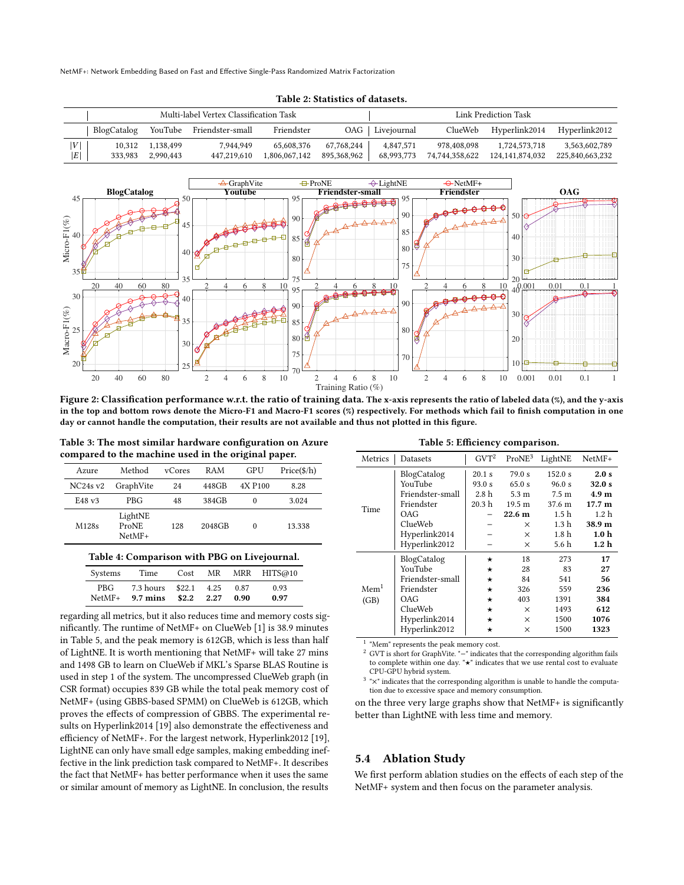NetMF+: Network Embedding Based on Fast and Effective Single-Pass Randomized Matrix Factorization

<span id="page-6-0"></span>

| Multi-label Vertex Classification Task |                   |                        |                          |                             |                           | Link Prediction Task    |                               |                                  |                                  |
|----------------------------------------|-------------------|------------------------|--------------------------|-----------------------------|---------------------------|-------------------------|-------------------------------|----------------------------------|----------------------------------|
|                                        | BlogCatalog       |                        | YouTube Friendster-small | Friendster                  |                           | OAG   Livejournal       | ClueWeb                       | Hyperlink2014                    | Hyperlink2012                    |
| V <br> E                               | 10,312<br>333,983 | 1,138,499<br>2.990.443 | 7.944.949<br>447,219,610 | 65,608,376<br>1,806,067,142 | 67,768,244<br>895,368,962 | 4.847.571<br>68,993,773 | 978.408.098<br>74,744,358,622 | 1.724.573.718<br>124,141,874,032 | 3,563,602,789<br>225,840,663,232 |



<span id="page-6-3"></span>

Figure 2: Classification performance w.r.t. the ratio of training data. The x-axis represents the ratio of labeled data (%), and the y-axis in the top and bottom rows denote the Micro-F1 and Macro-F1 scores (%) respectively. For methods which fail to finish computation in one day or cannot handle the computation, their results are not available and thus not plotted in this figure.

<span id="page-6-1"></span>Table 3: The most similar hardware configuration on Azure compared to the machine used in the original paper.

| Azure             | Method                           | vCores | RAM    | GPU                 | Price(\$/h) |
|-------------------|----------------------------------|--------|--------|---------------------|-------------|
| $NC24s$ v2        | GraphVite                        | 24     | 448GB  | 4X P <sub>100</sub> | 8.28        |
| E48v3             | <b>PRG</b>                       | 48     | 384GB  | 0                   | 3.024       |
| M <sub>128s</sub> | LightNE<br>ProNE<br>$N$ et $MF+$ | 128    | 2048GB | $\Omega$            | 13.338      |

#### Table 4: Comparison with PBG on Livejournal.

<span id="page-6-2"></span>

| Systems  | Time               | Cost   | MR   |      | MRR HITS@10 |
|----------|--------------------|--------|------|------|-------------|
| PBG.     | 7.3 hours          | \$22.1 | 4.25 | 0.87 | 0.93        |
| $NetMF+$ | $9.7 \text{ mins}$ | \$2.2  | 2.27 | 0.90 | 0.97        |

regarding all metrics, but it also reduces time and memory costs significantly. The runtime of NetMF+ on ClueWeb [\[1\]](#page-8-42) is 38.9 minutes in Table [5,](#page-6-4) and the peak memory is 612GB, which is less than half of LightNE. It is worth mentioning that NetMF+ will take 27 mins and 1498 GB to learn on ClueWeb if MKL's Sparse BLAS Routine is used in step 1 of the system. The uncompressed ClueWeb graph (in CSR format) occupies 839 GB while the total peak memory cost of NetMF+ (using GBBS-based SPMM) on ClueWeb is 612GB, which proves the effects of compression of GBBS. The experimental results on Hyperlink2014 [\[19\]](#page-8-43) also demonstrate the effectiveness and efficiency of NetMF+. For the largest network, Hyperlink2012 [\[19\]](#page-8-43), LightNE can only have small edge samples, making embedding ineffective in the link prediction task compared to NetMF+. It describes the fact that NetMF+ has better performance when it uses the same or similar amount of memory as LightNE. In conclusion, the results

| Table 5: Efficiency comparison. |  |
|---------------------------------|--|
|---------------------------------|--|

<span id="page-6-4"></span>

| Metrics    | Datasets         | $GVT^2$  | ProNE <sup>3</sup> | LightNE          | $NetMF+$         |
|------------|------------------|----------|--------------------|------------------|------------------|
|            | BlogCatalog      | 20.1 s   | 79.0 s             | 152.0 s          | 2.0 s            |
|            | YouTube          | 93.0 s   | 65.0 s             | 96.0 s           | 32.0 s           |
|            | Friendster-small | 2.8h     | 5.3 <sub>m</sub>   | 7.5 <sub>m</sub> | 4.9 <sub>m</sub> |
| Time       | Friendster       | 20.3 h   | 19.5 m             | 37.6 m           | 17.7 m           |
|            | OAG              |          | 22.6 <sub>m</sub>  | 1.5 <sub>h</sub> | 1.2h             |
|            | ClueWeb          |          | $\times$           | 1.3 <sub>h</sub> | 38.9 m           |
|            | Hyperlink2014    |          | $\times$           | 1.8 <sub>h</sub> | 1.0 <sub>h</sub> |
|            | Hyperlink2012    |          | $\times$           | 5.6 h            | 1.2 <sub>h</sub> |
|            | BlogCatalog      | *        | 18                 | 273              | 17               |
|            | YouTube          | $^\star$ | 28                 | 83               | 27               |
|            | Friendster-small | $^\star$ | 84                 | 541              | 56               |
| $M$ em $1$ | Friendster       | *        | 326                | 559              | 236              |
| (GB)       | OAG              | $^\star$ | 403                | 1391             | 384              |
|            | ClueWeb          | $^\star$ | X                  | 1493             | 612              |
|            | Hyperlink2014    | $^\star$ | X                  | 1500             | 1076             |
|            | Hyperlink2012    | *        | $\times$           | 1500             | 1323             |

<sup>1</sup> "Mem" represents the peak memory cost.

<sup>2</sup> GVT is short for GraphVite. "−" indicates that the corresponding algorithm fails to complete within one day. "★" indicates that we use rental cost to evaluate CPU-GPU hybrid system.

<sup>3</sup> "×" indicates that the corresponding algorithm is unable to handle the computation due to excessive space and memory consumption.

on the three very large graphs show that NetMF+ is significantly better than LightNE with less time and memory.

#### 5.4 Ablation Study

We first perform ablation studies on the effects of each step of the NetMF+ system and then focus on the parameter analysis.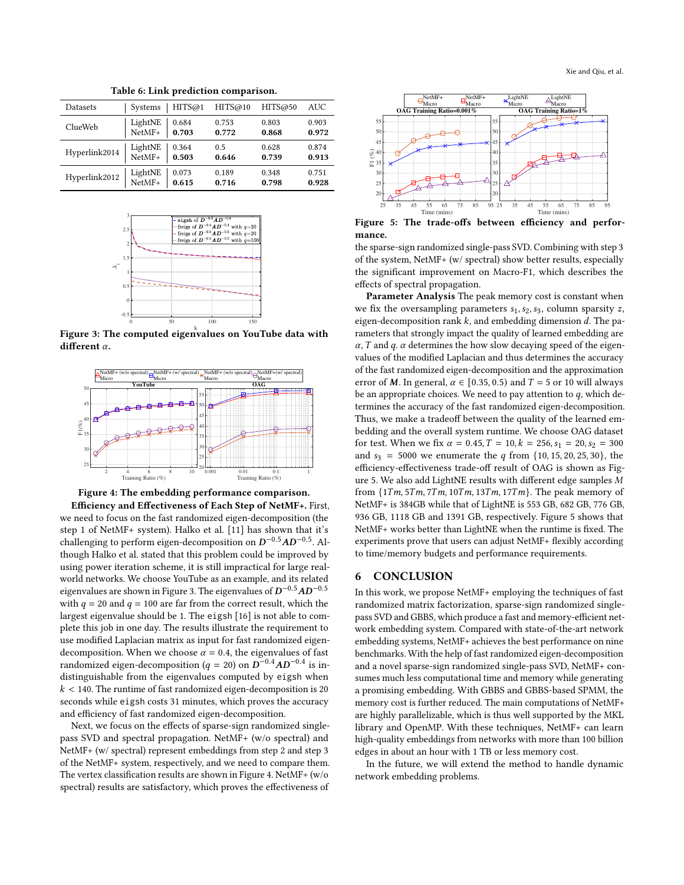<span id="page-7-0"></span>

| <b>Datasets</b> | Systems | HITS@1 | HITS@10 | HITS@50 | AUC   |
|-----------------|---------|--------|---------|---------|-------|
| ClueWeb         | LightNE | 0.684  | 0.753   | 0.803   | 0.903 |
|                 | NetMF+  | 0.703  | 0.772   | 0.868   | 0.972 |
| Hyperlink2014   | LightNE | 0.364  | 0.5     | 0.628   | 0.874 |
|                 | NetMF+  | 0.503  | 0.646   | 0.739   | 0.913 |
| Hyperlink2012   | LightNE | 0.073  | 0.189   | 0.348   | 0.751 |
|                 | NetMF+  | 0.615  | 0.716   | 0.798   | 0.928 |

Table 6: Link prediction comparison.

<span id="page-7-1"></span>

Figure 3: The computed eigenvalues on YouTube data with different  $\alpha$ .

<span id="page-7-2"></span>

Figure 4: The embedding performance comparison.

Efficiency and Effectiveness of Each Step of NetMF+. First, we need to focus on the fast randomized eigen-decomposition (the step 1 of NetMF+ system). Halko et al. [\[11\]](#page-8-21) has shown that it's challenging to perform eigen-decomposition on  $D^{-0.5}AD^{-0.5}$ . Although Halko et al. stated that this problem could be improved by using power iteration scheme, it is still impractical for large realworld networks. We choose YouTube as an example, and its related eigenvalues are shown in Figure [3.](#page-7-1) The eigenvalues of  $\bm{D}^{-0.5} \bm{A} \bm{D}^{-0.5}$ with  $q = 20$  and  $q = 100$  are far from the correct result, which the largest eigenvalue should be 1. The eigsh [\[16\]](#page-8-11) is not able to complete this job in one day. The results illustrate the requirement to use modified Laplacian matrix as input for fast randomized eigendecomposition. When we choose  $\alpha = 0.4$ , the eigenvalues of fast randomized eigen-decomposition ( $q = 20$ ) on  $D^{-0.4}AD^{-0.4}$  is indistinguishable from the eigenvalues computed by eigsh when  $k < 140$ . The runtime of fast randomized eigen-decomposition is 20 seconds while eigsh costs 31 minutes, which proves the accuracy and efficiency of fast randomized eigen-decomposition.

Next, we focus on the effects of sparse-sign randomized singlepass SVD and spectral propagation. NetMF+ (w/o spectral) and NetMF+ (w/ spectral) represent embeddings from step 2 and step 3 of the NetMF+ system, respectively, and we need to compare them. The vertex classification results are shown in Figure [4.](#page-7-2) NetMF+ (w/o spectral) results are satisfactory, which proves the effectiveness of

<span id="page-7-3"></span>

Figure 5: The trade-offs between efficiency and performance.

the sparse-sign randomized single-pass SVD. Combining with step 3 of the system, NetMF+ (w/ spectral) show better results, especially the significant improvement on Macro-F1, which describes the effects of spectral propagation.

Parameter Analysis The peak memory cost is constant when we fix the oversampling parameters  $s_1, s_2, s_3$ , column sparsity z, eigen-decomposition rank  $k$ , and embedding dimension  $d$ . The parameters that strongly impact the quality of learned embedding are  $\alpha$ , T and q.  $\alpha$  determines the how slow decaying speed of the eigenvalues of the modified Laplacian and thus determines the accuracy of the fast randomized eigen-decomposition and the approximation error of M. In general,  $\alpha \in [0.35, 0.5)$  and  $T = 5$  or 10 will always be an appropriate choices. We need to pay attention to  $q$ , which determines the accuracy of the fast randomized eigen-decomposition. Thus, we make a tradeoff between the quality of the learned embedding and the overall system runtime. We choose OAG dataset for test. When we fix  $\alpha = 0.45$ ,  $T = 10$ ,  $k = 256$ ,  $s_1 = 20$ ,  $s_2 = 300$ and  $s_3 = 5000$  we enumerate the q from  $\{10, 15, 20, 25, 30\}$ , the efficiency-effectiveness trade-off result of OAG is shown as Fig-ure [5.](#page-7-3) We also add LightNE results with different edge samples M from  $\{1Tm, 5Tm, 7Tm, 10Tm, 13Tm, 17Tm\}$ . The peak memory of NetMF+ is 384GB while that of LightNE is 553 GB, 682 GB, 776 GB, 936 GB, 1118 GB and 1391 GB, respectively. Figure [5](#page-7-3) shows that NetMF+ works better than LightNE when the runtime is fixed. The experiments prove that users can adjust NetMF+ flexibly according to time/memory budgets and performance requirements.

## 6 CONCLUSION

In this work, we propose NetMF+ employing the techniques of fast randomized matrix factorization, sparse-sign randomized singlepass SVD and GBBS, which produce a fast and memory-efficient network embedding system. Compared with state-of-the-art network embedding systems, NetMF+ achieves the best performance on nine benchmarks. With the help of fast randomized eigen-decomposition and a novel sparse-sign randomized single-pass SVD, NetMF+ consumes much less computational time and memory while generating a promising embedding. With GBBS and GBBS-based SPMM, the memory cost is further reduced. The main computations of NetMF+ are highly parallelizable, which is thus well supported by the MKL library and OpenMP. With these techniques, NetMF+ can learn high-quality embeddings from networks with more than 100 billion edges in about an hour with 1 TB or less memory cost.

In the future, we will extend the method to handle dynamic network embedding problems.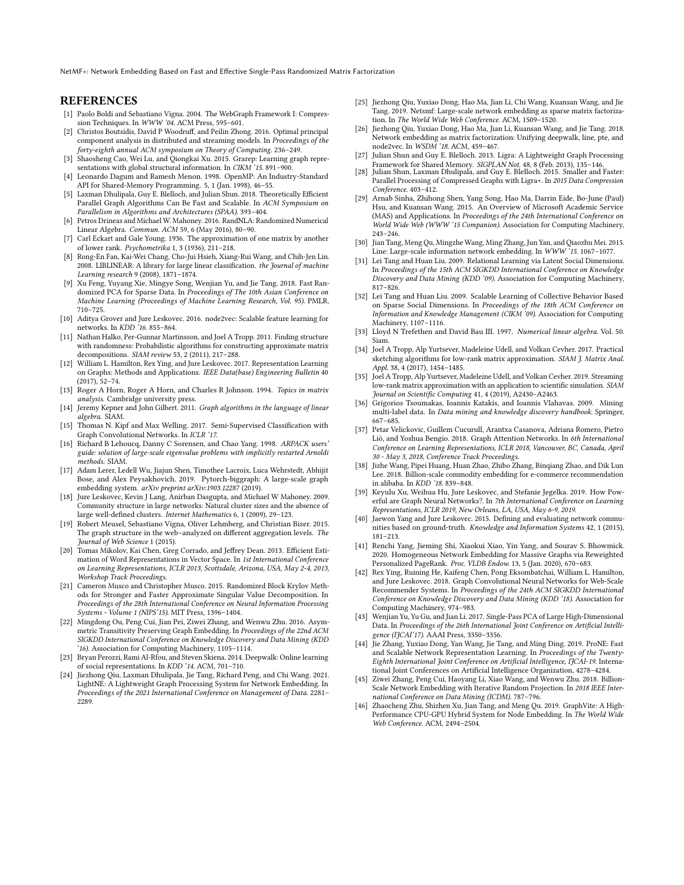NetMF+: Network Embedding Based on Fast and Effective Single-Pass Randomized Matrix Factorization

## **REFERENCES**

- <span id="page-8-42"></span>[1] Paolo Boldi and Sebastiano Vigna. 2004. The WebGraph Framework I: Compression Techniques. In WWW '04. ACM Press, 595–601.
- <span id="page-8-24"></span>[2] Christos Boutsidis, David P Woodruff, and Peilin Zhong. 2016. Optimal principal component analysis in distributed and streaming models. In Proceedings of the forty-eighth annual ACM symposium on Theory of Computing. 236–249.
- <span id="page-8-18"></span>[3] Shaosheng Cao, Wei Lu, and Qiongkai Xu. 2015. Grarep: Learning graph representations with global structural information. In CIKM '15. 891-900
- <span id="page-8-34"></span>[4] Leonardo Dagum and Ramesh Menon. 1998. OpenMP: An Industry-Standard API for Shared-Memory Programming. 5, 1 (Jan. 1998), 46–55.
- <span id="page-8-30"></span>[5] Laxman Dhulipala, Guy E. Blelloch, and Julian Shun. 2018. Theoretically Efficient Parallel Graph Algorithms Can Be Fast and Scalable. In ACM Symposium on Parallelism in Algorithms and Architectures (SPAA). 393–404.
- <span id="page-8-20"></span>[6] Petros Drineas and Michael W. Mahoney. 2016. RandNLA: Randomized Numerical Linear Algebra. Commun. ACM 59, 6 (May 2016), 80–90.
- <span id="page-8-17"></span>[7] Carl Eckart and Gale Young. 1936. The approximation of one matrix by another of lower rank. Psychometrika 1, 3 (1936), 211–218.
- <span id="page-8-38"></span>[8] Rong-En Fan, Kai-Wei Chang, Cho-Jui Hsieh, Xiang-Rui Wang, and Chih-Jen Lin. 2008. LIBLINEAR: A library for large linear classification. the Journal of machine Learning research 9 (2008), 1871–1874.
- <span id="page-8-22"></span>[9] Xu Feng, Yuyang Xie, Mingye Song, Wenjian Yu, and Jie Tang. 2018. Fast Randomized PCA for Sparse Data. In Proceedings of The 10th Asian Conference on Machine Learning (Proceedings of Machine Learning Research, Vol. 95). PMLR, 710–725.
- <span id="page-8-4"></span>[10] Aditya Grover and Jure Leskovec. 2016. node2vec: Scalable feature learning for networks. In KDD '16. 855–864.
- <span id="page-8-21"></span>[11] Nathan Halko, Per-Gunnar Martinsson, and Joel A Tropp. 2011. Finding structure with randomness: Probabilistic algorithms for constructing approximate matrix decompositions. SIAM review 53, 2 (2011), 217–288.
- <span id="page-8-0"></span>[12] William L. Hamilton, Rex Ying, and Jure Leskovec. 2017. Representation Learning on Graphs: Methods and Applications. IEEE Data(base) Engineering Bulletin 40 (2017), 52–74.
- <span id="page-8-45"></span>[13] Roger A Horn, Roger A Horn, and Charles R Johnson. 1994. Topics in matrix analysis. Cambridge university press.
- <span id="page-8-32"></span>[14] Jeremy Kepner and John Gilbert. 2011. Graph algorithms in the language of linear algebra. SIAM.
- <span id="page-8-13"></span>[15] Thomas N. Kipf and Max Welling. 2017. Semi-Supervised Classification with Graph Convolutional Networks. In ICLR '17.
- <span id="page-8-11"></span>[16] Richard B Lehoucq, Danny C Sorensen, and Chao Yang. 1998. ARPACK users' guide: solution of large-scale eigenvalue problems with implicitly restarted Arnoldi methods. SIAM.
- <span id="page-8-10"></span>[17] Adam Lerer, Ledell Wu, Jiajun Shen, Timothee Lacroix, Luca Wehrstedt, Abhijit Bose, and Alex Peysakhovich. 2019. Pytorch-biggraph: A large-scale graph embedding system. arXiv preprint arXiv:1903.12287 (2019).
- <span id="page-8-37"></span>[18] Jure Leskovec, Kevin J Lang, Anirban Dasgupta, and Michael W Mahoney. 2009. Community structure in large networks: Natural cluster sizes and the absence of large well-defined clusters. Internet Mathematics 6, 1 (2009), 29–123.
- <span id="page-8-43"></span>[19] Robert Meusel, Sebastiano Vigna, Oliver Lehmberg, and Christian Bizer. 2015. The graph structure in the web–analyzed on different aggregation levels. The Journal of Web Science 1 (2015).
- <span id="page-8-12"></span>[20] Tomas Mikolov, Kai Chen, Greg Corrado, and Jeffrey Dean. 2013. Efficient Estimation of Word Representations in Vector Space. In 1st International Conference on Learning Representations, ICLR 2013, Scottsdale, Arizona, USA, May 2-4, 2013, Workshop Track Proceedings.
- <span id="page-8-29"></span>[21] Cameron Musco and Christopher Musco. 2015. Randomized Block Krylov Methods for Stronger and Faster Approximate Singular Value Decomposition. In Proceedings of the 28th International Conference on Neural Information Processing Systems - Volume 1 (NIPS'15). MIT Press, 1396–1404.
- <span id="page-8-19"></span>[22] Mingdong Ou, Peng Cui, Jian Pei, Ziwei Zhang, and Wenwu Zhu. 2016. Asymmetric Transitivity Preserving Graph Embedding. In Proceedings of the 22nd ACM SIGKDD International Conference on Knowledge Discovery and Data Mining (KDD '16). Association for Computing Machinery, 1105–1114.
- <span id="page-8-1"></span>[23] Bryan Perozzi, Rami Al-Rfou, and Steven Skiena. 2014. Deepwalk: Online learning of social representations. In KDD '14. ACM, 701–710.
- <span id="page-8-8"></span>[24] Jiezhong Qiu, Laxman Dhulipala, Jie Tang, Richard Peng, and Chi Wang. 2021. LightNE: A Lightweight Graph Processing System for Network Embedding. In Proceedings of the 2021 International Conference on Management of Data. 2281– 2289.
- <span id="page-8-6"></span>[25] Jiezhong Qiu, Yuxiao Dong, Hao Ma, Jian Li, Chi Wang, Kuansan Wang, and Jie Tang. 2019. Netsmf: Large-scale network embedding as sparse matrix factorization. In The World Wide Web Conference. ACM, 1509–1520.
- <span id="page-8-5"></span>[26] Jiezhong Qiu, Yuxiao Dong, Hao Ma, Jian Li, Kuansan Wang, and Jie Tang. 2018. Network embedding as matrix factorization: Unifying deepwalk, line, pte, and node2vec. In WSDM '18. ACM, 459–467.
- <span id="page-8-31"></span>[27] Julian Shun and Guy E. Blelloch. 2013. Ligra: A Lightweight Graph Processing Framework for Shared Memory. SIGPLAN Not. 48, 8 (Feb. 2013), 135–146.
- <span id="page-8-33"></span>[28] Julian Shun, Laxman Dhulipala, and Guy E. Blelloch. 2015. Smaller and Faster: Parallel Processing of Compressed Graphs with Ligra+. In 2015 Data Compression Conference. 403–412.
- <span id="page-8-41"></span>[29] Arnab Sinha, Zhihong Shen, Yang Song, Hao Ma, Darrin Eide, Bo-June (Paul) Hsu, and Kuansan Wang. 2015. An Overview of Microsoft Academic Service (MAS) and Applications. In Proceedings of the 24th International Conference on World Wide Web (WWW '15 Companion). Association for Computing Machinery, 243–246.
- <span id="page-8-2"></span>[30] Jian Tang, Meng Qu, Mingzhe Wang, Ming Zhang, Jun Yan, and Qiaozhu Mei. 2015. Line: Large-scale information network embedding. In WWW '15. 1067–1077.
- <span id="page-8-35"></span>[31] Lei Tang and Huan Liu. 2009. Relational Learning via Latent Social Dimensions. In Proceedings of the 15th ACM SIGKDD International Conference on Knowledge Discovery and Data Mining (KDD '09). Association for Computing Machinery, 817–826.
- <span id="page-8-36"></span>[32] Lei Tang and Huan Liu. 2009. Scalable Learning of Collective Behavior Based on Sparse Social Dimensions. In Proceedings of the 18th ACM Conference on Information and Knowledge Management (CIKM '09). Association for Computing Machinery, 1107–1116.
- <span id="page-8-44"></span>[33] Lloyd N Trefethen and David Bau III. 1997. Numerical linear algebra. Vol. 50. Siam.
- <span id="page-8-23"></span>[34] Joel A Tropp, Alp Yurtsever, Madeleine Udell, and Volkan Cevher. 2017. Practical sketching algorithms for low-rank matrix approximation. SIAM J. Matrix Anal. Appl. 38, 4 (2017), 1454–1485.
- <span id="page-8-25"></span>[35] Joel A Tropp, Alp Yurtsever, Madeleine Udell, and Volkan Cevher. 2019. Streaming low-rank matrix approximation with an application to scientific simulation. SIAM Journal on Scientific Computing 41, 4 (2019), A2430–A2463.
- <span id="page-8-39"></span>[36] Grigorios Tsoumakas, Ioannis Katakis, and Ioannis Vlahavas. 2009. Mining multi-label data. In Data mining and knowledge discovery handbook. Springer, 667–685.
- <span id="page-8-14"></span>[37] Petar Velickovic, Guillem Cucurull, Arantxa Casanova, Adriana Romero, Pietro Liò, and Yoshua Bengio. 2018. Graph Attention Networks. In 6th International Conference on Learning Representations, ICLR 2018, Vancouver, BC, Canada, April 30 - May 3, 2018, Conference Track Proceedings.
- <span id="page-8-3"></span>[38] Jizhe Wang, Pipei Huang, Huan Zhao, Zhibo Zhang, Binqiang Zhao, and Dik Lun Lee. 2018. Billion-scale commodity embedding for e-commerce recommendation in alibaba. In KDD '18. 839–848.
- <span id="page-8-15"></span>[39] Keyulu Xu, Weihua Hu, Jure Leskovec, and Stefanie Jegelka. 2019. How Powerful are Graph Neural Networks?. In 7th International Conference on Learning Representations, ICLR 2019, New Orleans, LA, USA, May 6-9, 2019.
- <span id="page-8-40"></span>[40] Jaewon Yang and Jure Leskovec. 2015. Defining and evaluating network communities based on ground-truth. Knowledge and Information Systems 42, 1 (2015), 181–213.
- <span id="page-8-27"></span>[41] Renchi Yang, Jieming Shi, Xiaokui Xiao, Yin Yang, and Sourav S. Bhowmick. 2020. Homogeneous Network Embedding for Massive Graphs via Reweighted Personalized PageRank. Proc. VLDB Endow. 13, 5 (Jan. 2020), 670–683.
- <span id="page-8-16"></span>[42] Rex Ying, Ruining He, Kaifeng Chen, Pong Eksombatchai, William L. Hamilton, and Jure Leskovec. 2018. Graph Convolutional Neural Networks for Web-Scale Recommender Systems. In Proceedings of the 24th ACM SIGKDD International Conference on Knowledge Discovery and Data Mining (KDD '18). Association for Computing Machinery, 974–983.
- <span id="page-8-26"></span>[43] Wenjian Yu, Yu Gu, and Jian Li. 2017. Single-Pass PCA of Large High-Dimensional Data. In Proceedings of the 26th International Joint Conference on Artificial Intelligence (IJCAI'17). AAAI Press, 3350–3356.
- <span id="page-8-7"></span>[44] Jie Zhang, Yuxiao Dong, Yan Wang, Jie Tang, and Ming Ding. 2019. ProNE: Fast and Scalable Network Representation Learning. In Proceedings of the Twenty-Eighth International Joint Conference on Artificial Intelligence, IJCAI-19. International Joint Conferences on Artificial Intelligence Organization, 4278–4284.
- <span id="page-8-28"></span>[45] Ziwei Zhang, Peng Cui, Haoyang Li, Xiao Wang, and Wenwu Zhu. 2018. Billion-Scale Network Embedding with Iterative Random Projection. In 2018 IEEE International Conference on Data Mining (ICDM). 787–796.
- <span id="page-8-9"></span>[46] Zhaocheng Zhu, Shizhen Xu, Jian Tang, and Meng Qu. 2019. GraphVite: A High-Performance CPU-GPU Hybrid System for Node Embedding. In The World Wide Web Conference. ACM, 2494–2504.